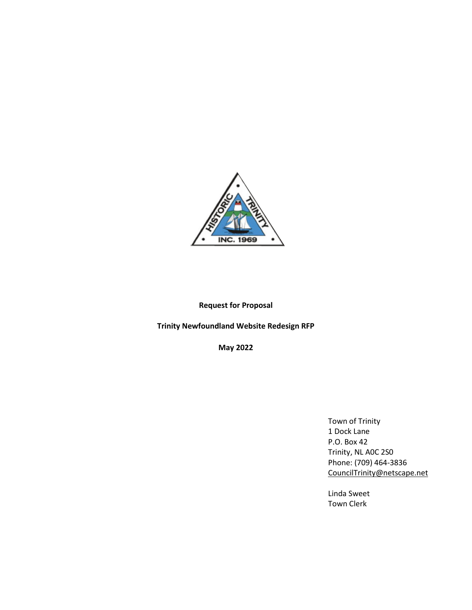

# **Request for Proposal**

# **Trinity Newfoundland Website Redesign RFP**

**May 2022**

Town of Trinity 1 Dock Lane P.O. Box 42 Trinity, NL A0C 2S0 Phone: (709) 464-3836 [CouncilTrinity@netscape.net](mailto:CouncilTrinity@netscape.net)

Linda Sweet Town Clerk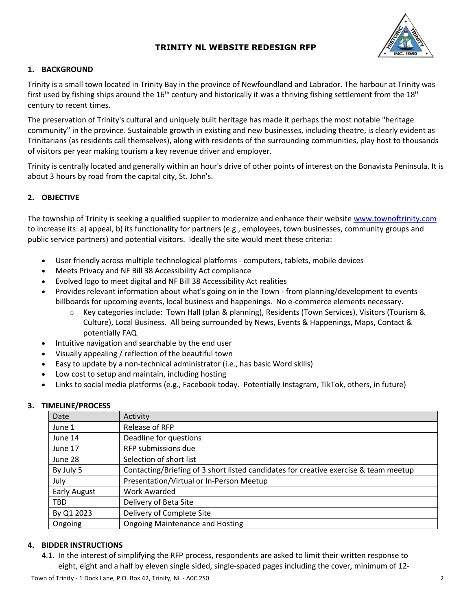

## **1. BACKGROUND**

Trinity is a small town located in Trinity Bay in the province of Newfoundland and Labrador. The harbour at Trinity was first used by fishing ships around the  $16<sup>th</sup>$  century and historically it was a thriving fishing settlement from the  $18<sup>th</sup>$ century to recent times.

The preservation of Trinity's cultural and uniquely built heritage has made it perhaps the most notable "heritage community" in the province. Sustainable growth in existing and new businesses, including theatre, is clearly evident as Trinitarians (as residents call themselves), along with residents of the surrounding communities, play host to thousands of visitors per year making tourism a key revenue driver and employer.

Trinity is centrally located and generally within an hour's drive of other points of interest on the Bonavista Peninsula. It is about 3 hours by road from the capital city, St. John's.

# **2. OBJECTIVE**

The township of Trinity is seeking a qualified supplier to modernize and enhance their website [www.townoftrinity.com](http://www.townoftrinity.com/) to increase its: a) appeal, b) its functionality for partners (e.g., employees, town businesses, community groups and public service partners) and potential visitors. Ideally the site would meet these criteria:

- User friendly across multiple technological platforms computers, tablets, mobile devices
- Meets Privacy and NF Bill 38 Accessibility Act compliance
- Evolved logo to meet digital and NF Bill 38 Accessibility Act realities
- Provides relevant information about what's going on in the Town from planning/development to events billboards for upcoming events, local business and happenings. No e-commerce elements necessary.
	- o Key categories include: Town Hall (plan & planning), Residents (Town Services), Visitors (Tourism & Culture), Local Business. All being surrounded by News, Events & Happenings, Maps, Contact & potentially FAQ
- Intuitive navigation and searchable by the end user
- Visually appealing / reflection of the beautiful town
- Easy to update by a non-technical administrator (i.e., has basic Word skills)
- Low cost to setup and maintain, including hosting
- Links to social media platforms (e.g., Facebook today. Potentially Instagram, TikTok, others, in future)

#### **3. TIMELINE/PROCESS**

| Date                | Activity                                                                             |
|---------------------|--------------------------------------------------------------------------------------|
| June 1              | Release of RFP                                                                       |
| June 14             | Deadline for questions                                                               |
| June 17             | RFP submissions due                                                                  |
| June 28             | Selection of short list                                                              |
| By July 5           | Contacting/Briefing of 3 short listed candidates for creative exercise & team meetup |
| July                | Presentation/Virtual or In-Person Meetup                                             |
| <b>Early August</b> | Work Awarded                                                                         |
| <b>TBD</b>          | Delivery of Beta Site                                                                |
| By Q1 2023          | Delivery of Complete Site                                                            |
| Ongoing             | <b>Ongoing Maintenance and Hosting</b>                                               |

#### **4. BIDDER INSTRUCTIONS**

4.1. In the interest of simplifying the RFP process, respondents are asked to limit their written response to eight, eight and a half by eleven single sided, single-spaced pages including the cover, minimum of 12-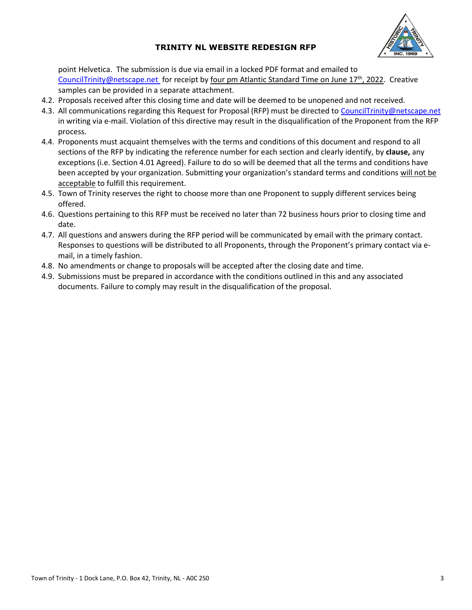

point Helvetica. The submission is due via email in a locked PDF format and emailed to [CouncilTrinity@netscape.net](mailto:CharlesMacIntyre@HieroMarketing.com) for receipt by four pm Atlantic Standard Time on June 17<sup>th</sup>, 2022. Creative samples can be provided in a separate attachment.

- 4.2. Proposals received after this closing time and date will be deemed to be unopened and not received.
- 4.3. All communications regarding this Request for Proposal (RFP) must be directed to [CouncilTrinity@netscape.net](mailto:CharlesMacIntyre@HieroMarketing.com)  in writing via e-mail. Violation of this directive may result in the disqualification of the Proponent from the RFP process.
- 4.4. Proponents must acquaint themselves with the terms and conditions of this document and respond to all sections of the RFP by indicating the reference number for each section and clearly identify, by **clause,** any exceptions (i.e. Section 4.01 Agreed). Failure to do so will be deemed that all the terms and conditions have been accepted by your organization. Submitting your organization's standard terms and conditions will not be acceptable to fulfill this requirement.
- 4.5. Town of Trinity reserves the right to choose more than one Proponent to supply different services being offered.
- 4.6. Questions pertaining to this RFP must be received no later than 72 business hours prior to closing time and date.
- 4.7. All questions and answers during the RFP period will be communicated by email with the primary contact. Responses to questions will be distributed to all Proponents, through the Proponent's primary contact via email, in a timely fashion.
- 4.8. No amendments or change to proposals will be accepted after the closing date and time.
- 4.9. Submissions must be prepared in accordance with the conditions outlined in this and any associated documents. Failure to comply may result in the disqualification of the proposal.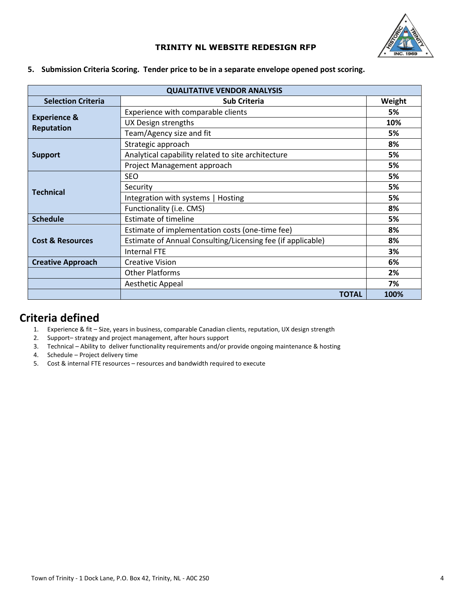

| <b>QUALITATIVE VENDOR ANALYSIS</b> |                                                             |        |  |  |  |
|------------------------------------|-------------------------------------------------------------|--------|--|--|--|
| <b>Selection Criteria</b>          | <b>Sub Criteria</b>                                         | Weight |  |  |  |
|                                    | Experience with comparable clients                          | 5%     |  |  |  |
| <b>Experience &amp;</b>            | UX Design strengths                                         | 10%    |  |  |  |
| <b>Reputation</b>                  | Team/Agency size and fit                                    | 5%     |  |  |  |
|                                    | Strategic approach                                          | 8%     |  |  |  |
| <b>Support</b>                     | Analytical capability related to site architecture          | 5%     |  |  |  |
|                                    | Project Management approach                                 | 5%     |  |  |  |
|                                    | <b>SEO</b>                                                  | 5%     |  |  |  |
| <b>Technical</b>                   | Security                                                    | 5%     |  |  |  |
|                                    | Integration with systems   Hosting                          | 5%     |  |  |  |
|                                    | Functionality (i.e. CMS)                                    | 8%     |  |  |  |
| <b>Schedule</b>                    | <b>Estimate of timeline</b>                                 | 5%     |  |  |  |
|                                    | Estimate of implementation costs (one-time fee)             | 8%     |  |  |  |
| <b>Cost &amp; Resources</b>        | Estimate of Annual Consulting/Licensing fee (if applicable) | 8%     |  |  |  |
|                                    | <b>Internal FTE</b>                                         | 3%     |  |  |  |
| <b>Creative Approach</b>           | <b>Creative Vision</b>                                      | 6%     |  |  |  |
|                                    | <b>Other Platforms</b>                                      | 2%     |  |  |  |
|                                    | Aesthetic Appeal                                            | 7%     |  |  |  |
|                                    | <b>TOTAL</b>                                                | 100%   |  |  |  |

**5. Submission Criteria Scoring. Tender price to be in a separate envelope opened post scoring.**

# **Criteria defined**

- 1. Experience & fit Size, years in business, comparable Canadian clients, reputation, UX design strength
- 2. Support– strategy and project management, after hours support
- 3. Technical Ability to deliver functionality requirements and/or provide ongoing maintenance & hosting
- 4. Schedule Project delivery time
- 5. Cost & internal FTE resources resources and bandwidth required to execute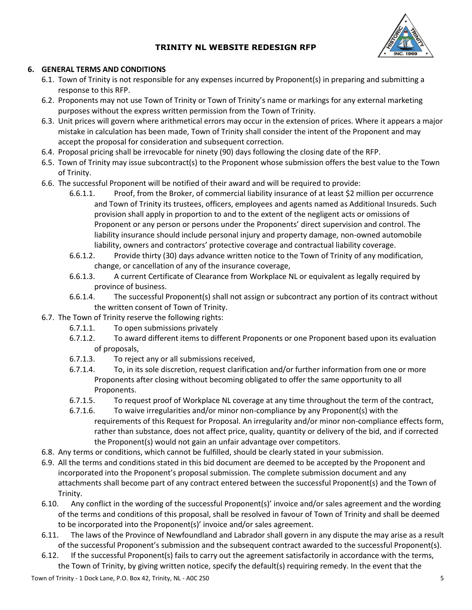

## **6. GENERAL TERMS AND CONDITIONS**

- 6.1. Town of Trinity is not responsible for any expenses incurred by Proponent(s) in preparing and submitting a response to this RFP.
- 6.2. Proponents may not use Town of Trinity or Town of Trinity's name or markings for any external marketing purposes without the express written permission from the Town of Trinity.
- 6.3. Unit prices will govern where arithmetical errors may occur in the extension of prices. Where it appears a major mistake in calculation has been made, Town of Trinity shall consider the intent of the Proponent and may accept the proposal for consideration and subsequent correction.
- 6.4. Proposal pricing shall be irrevocable for ninety (90) days following the closing date of the RFP.
- 6.5. Town of Trinity may issue subcontract(s) to the Proponent whose submission offers the best value to the Town of Trinity.
- 6.6. The successful Proponent will be notified of their award and will be required to provide:
	- 6.6.1.1. Proof, from the Broker, of commercial liability insurance of at least \$2 million per occurrence and Town of Trinity its trustees, officers, employees and agents named as Additional Insureds. Such provision shall apply in proportion to and to the extent of the negligent acts or omissions of Proponent or any person or persons under the Proponents' direct supervision and control. The liability insurance should include personal injury and property damage, non-owned automobile liability, owners and contractors' protective coverage and contractual liability coverage.
	- 6.6.1.2. Provide thirty (30) days advance written notice to the Town of Trinity of any modification, change, or cancellation of any of the insurance coverage,
	- 6.6.1.3. A current Certificate of Clearance from Workplace NL or equivalent as legally required by province of business.
	- 6.6.1.4. The successful Proponent(s) shall not assign or subcontract any portion of its contract without the written consent of Town of Trinity.
- 6.7. The Town of Trinity reserve the following rights:
	- 6.7.1.1. To open submissions privately
	- 6.7.1.2. To award different items to different Proponents or one Proponent based upon its evaluation of proposals,
	- 6.7.1.3. To reject any or all submissions received,
	- 6.7.1.4. To, in its sole discretion, request clarification and/or further information from one or more Proponents after closing without becoming obligated to offer the same opportunity to all Proponents.
	- 6.7.1.5. To request proof of Workplace NL coverage at any time throughout the term of the contract,
	- 6.7.1.6. To waive irregularities and/or minor non-compliance by any Proponent(s) with the requirements of this Request for Proposal. An irregularity and/or minor non-compliance effects form, rather than substance, does not affect price, quality, quantity or delivery of the bid, and if corrected the Proponent(s) would not gain an unfair advantage over competitors.
- 6.8. Any terms or conditions, which cannot be fulfilled, should be clearly stated in your submission.
- 6.9. All the terms and conditions stated in this bid document are deemed to be accepted by the Proponent and incorporated into the Proponent's proposal submission. The complete submission document and any attachments shall become part of any contract entered between the successful Proponent(s) and the Town of Trinity.
- 6.10. Any conflict in the wording of the successful Proponent(s)' invoice and/or sales agreement and the wording of the terms and conditions of this proposal, shall be resolved in favour of Town of Trinity and shall be deemed to be incorporated into the Proponent(s)' invoice and/or sales agreement.
- 6.11. The laws of the Province of Newfoundland and Labrador shall govern in any dispute the may arise as a result of the successful Proponent's submission and the subsequent contract awarded to the successful Proponent(s).
- 6.12. If the successful Proponent(s) fails to carry out the agreement satisfactorily in accordance with the terms, the Town of Trinity, by giving written notice, specify the default(s) requiring remedy. In the event that the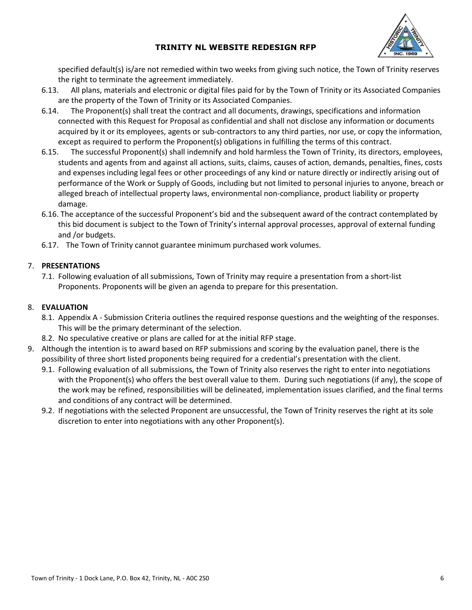

specified default(s) is/are not remedied within two weeks from giving such notice, the Town of Trinity reserves the right to terminate the agreement immediately.

- 6.13. All plans, materials and electronic or digital files paid for by the Town of Trinity or its Associated Companies are the property of the Town of Trinity or its Associated Companies.
- 6.14. The Proponent(s) shall treat the contract and all documents, drawings, specifications and information connected with this Request for Proposal as confidential and shall not disclose any information or documents acquired by it or its employees, agents or sub-contractors to any third parties, nor use, or copy the information, except as required to perform the Proponent(s) obligations in fulfilling the terms of this contract.
- 6.15. The successful Proponent(s) shall indemnify and hold harmless the Town of Trinity, its directors, employees, students and agents from and against all actions, suits, claims, causes of action, demands, penalties, fines, costs and expenses including legal fees or other proceedings of any kind or nature directly or indirectly arising out of performance of the Work or Supply of Goods, including but not limited to personal injuries to anyone, breach or alleged breach of intellectual property laws, environmental non-compliance, product liability or property damage.
- 6.16. The acceptance of the successful Proponent's bid and the subsequent award of the contract contemplated by this bid document is subject to the Town of Trinity's internal approval processes, approval of external funding and /or budgets.
- 6.17. The Town of Trinity cannot guarantee minimum purchased work volumes.

## 7. **PRESENTATIONS**

7.1. Following evaluation of all submissions, Town of Trinity may require a presentation from a short-list Proponents. Proponents will be given an agenda to prepare for this presentation.

#### 8. **EVALUATION**

- 8.1. Appendix A Submission Criteria outlines the required response questions and the weighting of the responses. This will be the primary determinant of the selection.
- 8.2. No speculative creative or plans are called for at the initial RFP stage.
- 9. Although the intention is to award based on RFP submissions and scoring by the evaluation panel, there is the possibility of three short listed proponents being required for a credential's presentation with the client.
	- 9.1. Following evaluation of all submissions, the Town of Trinity also reserves the right to enter into negotiations with the Proponent(s) who offers the best overall value to them. During such negotiations (if any), the scope of the work may be refined, responsibilities will be delineated, implementation issues clarified, and the final terms and conditions of any contract will be determined.
	- 9.2. If negotiations with the selected Proponent are unsuccessful, the Town of Trinity reserves the right at its sole discretion to enter into negotiations with any other Proponent(s).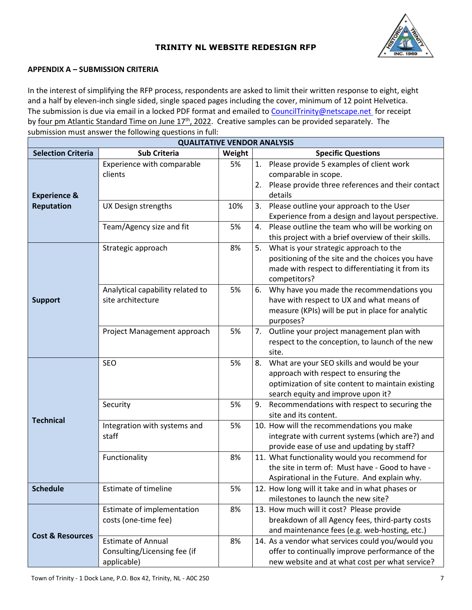

#### **APPENDIX A – SUBMISSION CRITERIA**

In the interest of simplifying the RFP process, respondents are asked to limit their written response to eight, eight and a half by eleven-inch single sided, single spaced pages including the cover, minimum of 12 point Helvetica. The submission is due via email in a locked PDF format and emailed t[o CouncilTrinity@netscape.net](mailto:CharlesMacIntyre@HieroMarketing.com) for receipt by four pm Atlantic Standard Time on June 17<sup>th</sup>, 2022. Creative samples can be provided separately. The submission must answer the following questions in full:

| <b>QUALITATIVE VENDOR ANALYSIS</b> |                                                                          |        |    |                                                                                                                                                                                |  |  |  |
|------------------------------------|--------------------------------------------------------------------------|--------|----|--------------------------------------------------------------------------------------------------------------------------------------------------------------------------------|--|--|--|
| <b>Selection Criteria</b>          | <b>Sub Criteria</b>                                                      | Weight |    | <b>Specific Questions</b>                                                                                                                                                      |  |  |  |
| <b>Experience &amp;</b>            | Experience with comparable<br>clients                                    | 5%     | 2. | 1. Please provide 5 examples of client work<br>comparable in scope.<br>Please provide three references and their contact<br>details                                            |  |  |  |
| <b>Reputation</b>                  | UX Design strengths                                                      | 10%    |    | 3. Please outline your approach to the User<br>Experience from a design and layout perspective.                                                                                |  |  |  |
|                                    | Team/Agency size and fit                                                 | 5%     | 4. | Please outline the team who will be working on<br>this project with a brief overview of their skills.                                                                          |  |  |  |
| <b>Support</b>                     | Strategic approach                                                       | 8%     | 5. | What is your strategic approach to the<br>positioning of the site and the choices you have<br>made with respect to differentiating it from its<br>competitors?                 |  |  |  |
|                                    | Analytical capability related to<br>site architecture                    | 5%     | 6. | Why have you made the recommendations you<br>have with respect to UX and what means of<br>measure (KPIs) will be put in place for analytic<br>purposes?                        |  |  |  |
|                                    | Project Management approach                                              | 5%     |    | 7. Outline your project management plan with<br>respect to the conception, to launch of the new<br>site.                                                                       |  |  |  |
| <b>Technical</b>                   | <b>SEO</b>                                                               | 5%     | 8. | What are your SEO skills and would be your<br>approach with respect to ensuring the<br>optimization of site content to maintain existing<br>search equity and improve upon it? |  |  |  |
|                                    | Security                                                                 | 5%     | 9. | Recommendations with respect to securing the<br>site and its content.                                                                                                          |  |  |  |
|                                    | Integration with systems and<br>staff                                    | 5%     |    | 10. How will the recommendations you make<br>integrate with current systems (which are?) and<br>provide ease of use and updating by staff?                                     |  |  |  |
|                                    | Functionality                                                            | 8%     |    | 11. What functionality would you recommend for<br>the site in term of: Must have - Good to have -<br>Aspirational in the Future. And explain why.                              |  |  |  |
| <b>Schedule</b>                    | <b>Estimate of timeline</b>                                              | 5%     |    | 12. How long will it take and in what phases or<br>milestones to launch the new site?                                                                                          |  |  |  |
| <b>Cost &amp; Resources</b>        | Estimate of implementation<br>costs (one-time fee)                       | 8%     |    | 13. How much will it cost? Please provide<br>breakdown of all Agency fees, third-party costs<br>and maintenance fees (e.g. web-hosting, etc.)                                  |  |  |  |
|                                    | <b>Estimate of Annual</b><br>Consulting/Licensing fee (if<br>applicable) | 8%     |    | 14. As a vendor what services could you/would you<br>offer to continually improve performance of the<br>new website and at what cost per what service?                         |  |  |  |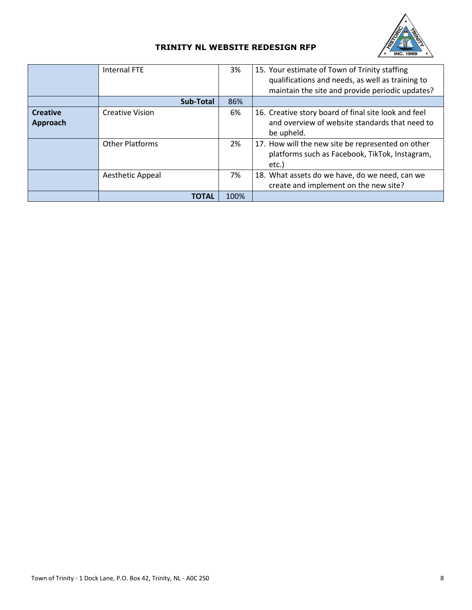

|                             | Internal FTE           | 3%   | 15. Your estimate of Town of Trinity staffing<br>qualifications and needs, as well as training to<br>maintain the site and provide periodic updates? |
|-----------------------------|------------------------|------|------------------------------------------------------------------------------------------------------------------------------------------------------|
|                             | <b>Sub-Total</b>       | 86%  |                                                                                                                                                      |
| <b>Creative</b><br>Approach | <b>Creative Vision</b> | 6%   | 16. Creative story board of final site look and feel<br>and overview of website standards that need to<br>be upheld.                                 |
|                             | <b>Other Platforms</b> | 2%   | 17. How will the new site be represented on other<br>platforms such as Facebook, TikTok, Instagram,<br>etc.)                                         |
|                             | Aesthetic Appeal       | 7%   | 18. What assets do we have, do we need, can we<br>create and implement on the new site?                                                              |
|                             | TOTAL                  | 100% |                                                                                                                                                      |